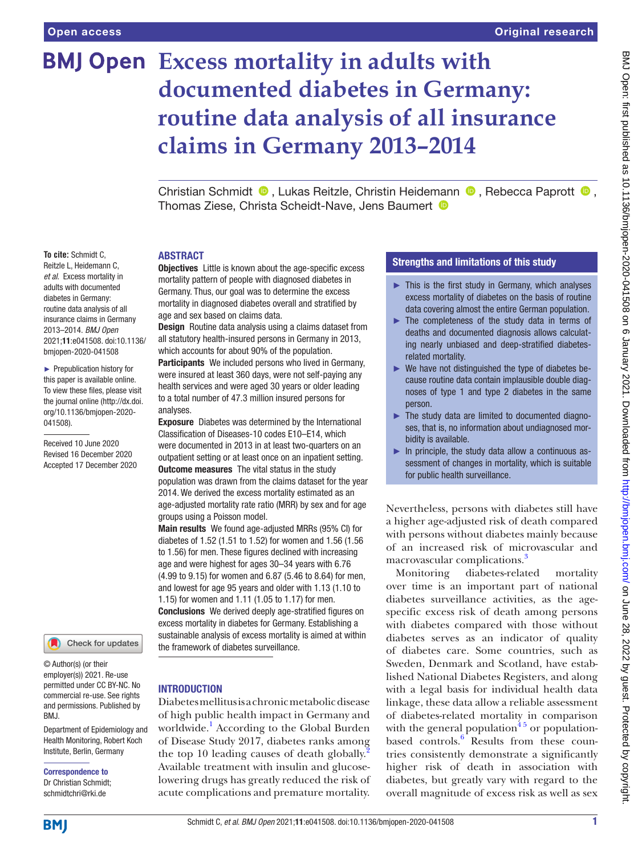**To cite:** Schmidt C, Reitzle L, Heidemann C, *et al*. Excess mortality in adults with documented diabetes in Germany: routine data analysis of all insurance claims in Germany 2013–2014. *BMJ Open* 2021;11:e041508. doi:10.1136/ bmjopen-2020-041508 ► Prepublication history for this paper is available online. To view these files, please visit the journal online (http://dx.doi. org/10.1136/bmjopen-2020-

041508).

Received 10 June 2020 Revised 16 December 2020 Accepted 17 December 2020

# **Excess mortality in adults with documented diabetes in Germany: routine data analysis of all insurance claims in Germany 2013–2014**

ChristianSchmidt  $\bullet$ , Lukas Reitzle, Christin Heidemann  $\bullet$ , Rebecca Paprott  $\bullet$ , Thomas Ziese, Christa Scheidt-Nave, Jens Baumert <sup>1</sup>

## ABSTRACT

**Objectives** Little is known about the age-specific excess mortality pattern of people with diagnosed diabetes in Germany. Thus, our goal was to determine the excess mortality in diagnosed diabetes overall and stratified by age and sex based on claims data.

**Design** Routine data analysis using a claims dataset from all statutory health-insured persons in Germany in 2013, which accounts for about 90% of the population.

Participants We included persons who lived in Germany, were insured at least 360 days, were not self-paying any health services and were aged 30 years or older leading to a total number of 47.3 million insured persons for analyses.

Exposure Diabetes was determined by the International Classification of Diseases-10 codes E10–E14, which were documented in 2013 in at least two-quarters on an outpatient setting or at least once on an inpatient setting. **Outcome measures** The vital status in the study population was drawn from the claims dataset for the year 2014. We derived the excess mortality estimated as an age-adjusted mortality rate ratio (MRR) by sex and for age groups using a Poisson model.

Main results We found age-adjusted MRRs (95% CI) for diabetes of 1.52 (1.51 to 1.52) for women and 1.56 (1.56 to 1.56) for men. These figures declined with increasing age and were highest for ages 30–34 years with 6.76 (4.99 to 9.15) for women and 6.87 (5.46 to 8.64) for men, and lowest for age 95 years and older with 1.13 (1.10 to 1.15) for women and 1.11 (1.05 to 1.17) for men. Conclusions We derived deeply age-stratified figures on excess mortality in diabetes for Germany. Establishing a sustainable analysis of excess mortality is aimed at within the framework of diabetes surveillance.

## **INTRODUCTION**

Diabetes mellitus is a chronic metabolic disease of high public health impact in Germany and worldwide.<sup>1</sup> According to the Global Burden of Disease Study 2017, diabetes ranks among the top 10 leading causes of death globally.<sup>[2](#page-6-1)</sup> Available treatment with insulin and glucoselowering drugs has greatly reduced the risk of acute complications and premature mortality.

# Strengths and limitations of this study

- $\blacktriangleright$  This is the first study in Germany, which analyses excess mortality of diabetes on the basis of routine data covering almost the entire German population.
- ► The completeness of the study data in terms of deaths and documented diagnosis allows calculating nearly unbiased and deep-stratified diabetesrelated mortality.
- $\blacktriangleright$  We have not distinguished the type of diabetes because routine data contain implausible double diagnoses of type 1 and type 2 diabetes in the same person.
- ► The study data are limited to documented diagnoses, that is, no information about undiagnosed morbidity is available.
- $\blacktriangleright$  In principle, the study data allow a continuous assessment of changes in mortality, which is suitable for public health surveillance.

Nevertheless, persons with diabetes still have a higher age-adjusted risk of death compared with persons without diabetes mainly because of an increased risk of microvascular and macrovascular complications.<sup>[3](#page-6-2)</sup>

Monitoring diabetes-related mortality over time is an important part of national diabetes surveillance activities, as the agespecific excess risk of death among persons with diabetes compared with those without diabetes serves as an indicator of quality of diabetes care. Some countries, such as Sweden, Denmark and Scotland, have established National Diabetes Registers, and along with a legal basis for individual health data linkage, these data allow a reliable assessment of diabetes-related mortality in comparison with the general population $45$  or populationbased controls.<sup>6</sup> Results from these countries consistently demonstrate a significantly higher risk of death in association with diabetes, but greatly vary with regard to the overall magnitude of excess risk as well as sex

and permissions. Published by BMJ.

© Author(s) (or their employer(s)) 2021. Re-use permitted under CC BY-NC. No commercial re-use. See rights

Department of Epidemiology and Health Monitoring, Robert Koch Institute, Berlin, Germany

Check for updates

Correspondence to Dr Christian Schmidt; schmidtchri@rki.de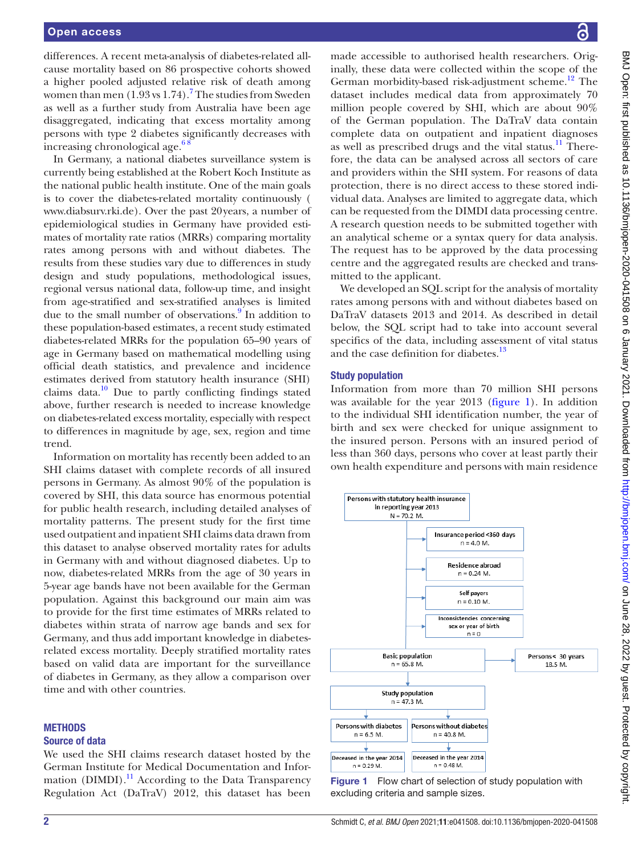differences. A recent meta-analysis of diabetes-related allcause mortality based on 86 prospective cohorts showed a higher pooled adjusted relative risk of death among women than men  $(1.93 \text{ vs } 1.74)$  $(1.93 \text{ vs } 1.74)$  $(1.93 \text{ vs } 1.74)$ .<sup>7</sup> The studies from Sweden as well as a further study from Australia have been age disaggregated, indicating that excess mortality among persons with type 2 diabetes significantly decreases with increasing chronological age. $68$ 

In Germany, a national diabetes surveillance system is currently being established at the Robert Koch Institute as the national public health institute. One of the main goals is to cover the diabetes-related mortality continuously ( <www.diabsurv.rki.de>). Over the past 20years, a number of epidemiological studies in Germany have provided estimates of mortality rate ratios (MRRs) comparing mortality rates among persons with and without diabetes. The results from these studies vary due to differences in study design and study populations, methodological issues, regional versus national data, follow-up time, and insight from age-stratified and sex-stratified analyses is limited due to the small number of observations.<sup>[9](#page-6-6)</sup> In addition to these population-based estimates, a recent study estimated diabetes-related MRRs for the population 65–90 years of age in Germany based on mathematical modelling using official death statistics, and prevalence and incidence estimates derived from statutory health insurance (SHI) claims data. $10$  Due to partly conflicting findings stated above, further research is needed to increase knowledge on diabetes-related excess mortality, especially with respect to differences in magnitude by age, sex, region and time trend.

Information on mortality has recently been added to an SHI claims dataset with complete records of all insured persons in Germany. As almost 90% of the population is covered by SHI, this data source has enormous potential for public health research, including detailed analyses of mortality patterns. The present study for the first time used outpatient and inpatient SHI claims data drawn from this dataset to analyse observed mortality rates for adults in Germany with and without diagnosed diabetes. Up to now, diabetes-related MRRs from the age of 30 years in 5-year age bands have not been available for the German population. Against this background our main aim was to provide for the first time estimates of MRRs related to diabetes within strata of narrow age bands and sex for Germany, and thus add important knowledge in diabetesrelated excess mortality. Deeply stratified mortality rates based on valid data are important for the surveillance of diabetes in Germany, as they allow a comparison over time and with other countries.

#### **METHODS**

#### Source of data

We used the SHI claims research dataset hosted by the German Institute for Medical Documentation and Infor-mation (DIMDI).<sup>[11](#page-6-8)</sup> According to the Data Transparency Regulation Act (DaTraV) 2012, this dataset has been

made accessible to authorised health researchers. Originally, these data were collected within the scope of the German morbidity-based risk-adjustment scheme.<sup>12</sup> The dataset includes medical data from approximately 70 million people covered by SHI, which are about 90% of the German population. The DaTraV data contain complete data on outpatient and inpatient diagnoses as well as prescribed drugs and the vital status.<sup>11</sup> Therefore, the data can be analysed across all sectors of care and providers within the SHI system. For reasons of data protection, there is no direct access to these stored individual data. Analyses are limited to aggregate data, which can be requested from the DIMDI data processing centre. A research question needs to be submitted together with an analytical scheme or a syntax query for data analysis. The request has to be approved by the data processing centre and the aggregated results are checked and transmitted to the applicant.

We developed an SQL script for the analysis of mortality rates among persons with and without diabetes based on DaTraV datasets 2013 and 2014. As described in detail below, the SQL script had to take into account several specifics of the data, including assessment of vital status and the case definition for diabetes.<sup>13</sup>

## Study population

Information from more than 70 million SHI persons was available for the year 2013 ([figure](#page-1-0) 1). In addition to the individual SHI identification number, the year of birth and sex were checked for unique assignment to the insured person. Persons with an insured period of less than 360 days, persons who cover at least partly their own health expenditure and persons with main residence



<span id="page-1-0"></span>Figure 1 Flow chart of selection of study population with excluding criteria and sample sizes.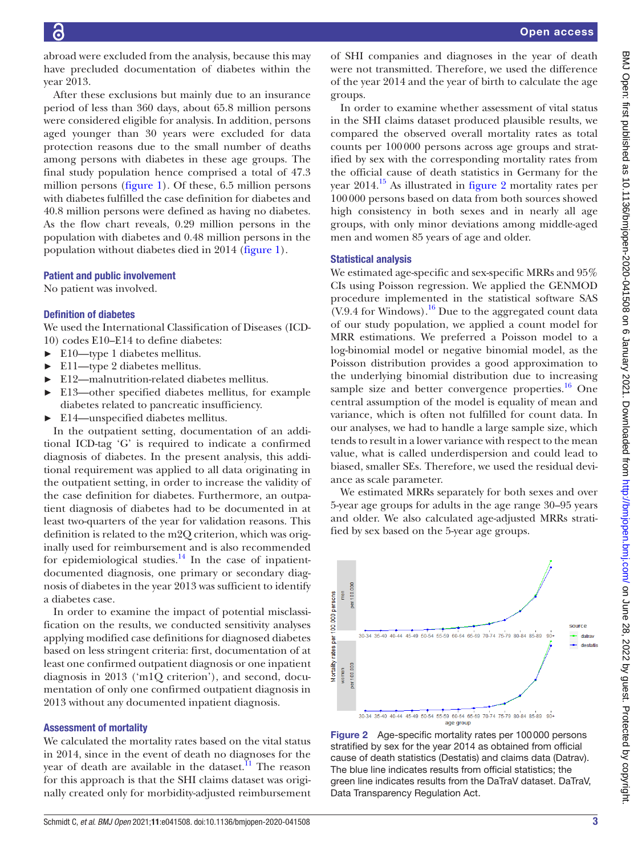abroad were excluded from the analysis, because this may have precluded documentation of diabetes within the year 2013.

After these exclusions but mainly due to an insurance period of less than 360 days, about 65.8 million persons were considered eligible for analysis. In addition, persons aged younger than 30 years were excluded for data protection reasons due to the small number of deaths among persons with diabetes in these age groups. The final study population hence comprised a total of 47.3 million persons [\(figure](#page-1-0) 1). Of these, 6.5 million persons with diabetes fulfilled the case definition for diabetes and 40.8 million persons were defined as having no diabetes. As the flow chart reveals, 0.29 million persons in the population with diabetes and 0.48 million persons in the population without diabetes died in 2014 [\(figure](#page-1-0) 1).

#### Patient and public involvement

No patient was involved.

## Definition of diabetes

We used the International Classification of Diseases (ICD-10) codes E10–E14 to define diabetes:

- ► E10—type 1 diabetes mellitus.
- ► E11—type 2 diabetes mellitus.
- ► E12—malnutrition-related diabetes mellitus.
- ► E13—other specified diabetes mellitus, for example diabetes related to pancreatic insufficiency.
- ► E14—unspecified diabetes mellitus.

In the outpatient setting, documentation of an additional ICD-tag 'G' is required to indicate a confirmed diagnosis of diabetes. In the present analysis, this additional requirement was applied to all data originating in the outpatient setting, in order to increase the validity of the case definition for diabetes. Furthermore, an outpatient diagnosis of diabetes had to be documented in at least two-quarters of the year for validation reasons. This definition is related to the m2Q criterion, which was originally used for reimbursement and is also recommended for epidemiological studies. $14$  In the case of inpatientdocumented diagnosis, one primary or secondary diagnosis of diabetes in the year 2013 was sufficient to identify a diabetes case.

In order to examine the impact of potential misclassification on the results, we conducted sensitivity analyses applying modified case definitions for diagnosed diabetes based on less stringent criteria: first, documentation of at least one confirmed outpatient diagnosis or one inpatient diagnosis in 2013 ('m1Q criterion'), and second, documentation of only one confirmed outpatient diagnosis in 2013 without any documented inpatient diagnosis.

## Assessment of mortality

We calculated the mortality rates based on the vital status in 2014, since in the event of death no diagnoses for the year of death are available in the dataset. $11$  The reason for this approach is that the SHI claims dataset was originally created only for morbidity-adjusted reimbursement

of SHI companies and diagnoses in the year of death were not transmitted. Therefore, we used the difference of the year 2014 and the year of birth to calculate the age groups.

In order to examine whether assessment of vital status in the SHI claims dataset produced plausible results, we compared the observed overall mortality rates as total counts per 100000 persons across age groups and stratified by sex with the corresponding mortality rates from the official cause of death statistics in Germany for the year  $2014.<sup>15</sup>$  As illustrated in [figure](#page-2-0) 2 mortality rates per 100000 persons based on data from both sources showed high consistency in both sexes and in nearly all age groups, with only minor deviations among middle-aged men and women 85 years of age and older.

## Statistical analysis

We estimated age-specific and sex-specific MRRs and 95% CIs using Poisson regression. We applied the GENMOD procedure implemented in the statistical software SAS  $(V.9.4$  for Windows).<sup>16</sup> Due to the aggregated count data of our study population, we applied a count model for MRR estimations. We preferred a Poisson model to a log-binomial model or negative binomial model, as the Poisson distribution provides a good approximation to the underlying binomial distribution due to increasing sample size and better convergence properties. $16$  One central assumption of the model is equality of mean and variance, which is often not fulfilled for count data. In our analyses, we had to handle a large sample size, which tends to result in a lower variance with respect to the mean value, what is called underdispersion and could lead to biased, smaller SEs. Therefore, we used the residual deviance as scale parameter.

We estimated MRRs separately for both sexes and over 5-year age groups for adults in the age range 30–95 years and older. We also calculated age-adjusted MRRs stratified by sex based on the 5-year age groups.



<span id="page-2-0"></span>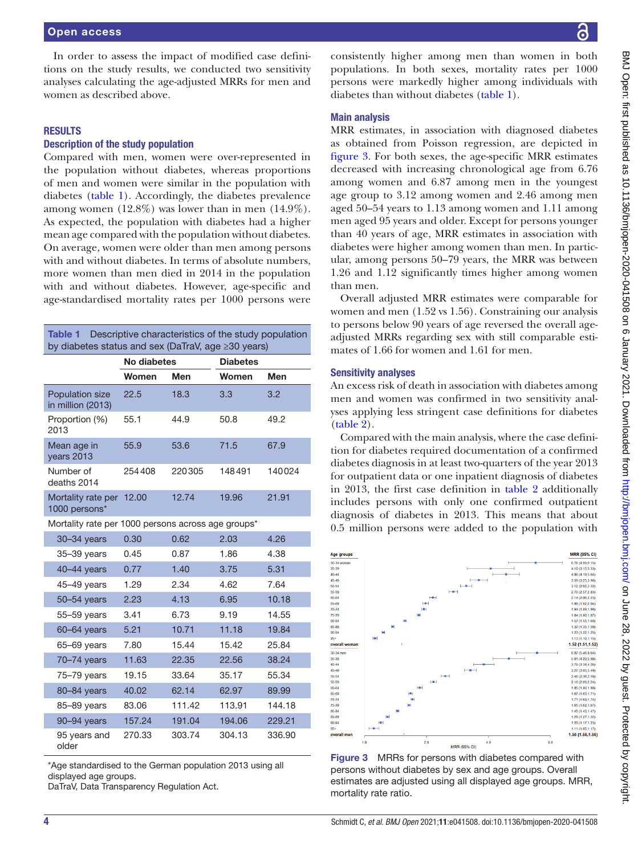In order to assess the impact of modified case definitions on the study results, we conducted two sensitivity analyses calculating the age-adjusted MRRs for men and women as described above.

#### RESULTS

## Description of the study population

Compared with men, women were over-represented in the population without diabetes, whereas proportions of men and women were similar in the population with diabetes ([table](#page-3-0) 1). Accordingly, the diabetes prevalence among women (12.8%) was lower than in men (14.9%). As expected, the population with diabetes had a higher mean age compared with the population without diabetes. On average, women were older than men among persons with and without diabetes. In terms of absolute numbers, more women than men died in 2014 in the population with and without diabetes. However, age-specific and age-standardised mortality rates per 1000 persons were

<span id="page-3-0"></span>

| <b>Table 1</b><br>Descriptive characteristics of the study population<br>by diabetes status and sex (DaTraV, age ≥30 years) |             |        |                 |        |  |  |  |
|-----------------------------------------------------------------------------------------------------------------------------|-------------|--------|-----------------|--------|--|--|--|
|                                                                                                                             | No diabetes |        | <b>Diabetes</b> |        |  |  |  |
|                                                                                                                             | Women       | Men    | Women           | Men    |  |  |  |
| <b>Population size</b><br>in million (2013)                                                                                 | 22.5        | 18.3   | 3.3             | 3.2    |  |  |  |
| Proportion (%)<br>2013                                                                                                      | 55.1        | 44.9   | 50.8            | 49.2   |  |  |  |
| Mean age in<br>years 2013                                                                                                   | 55.9        | 53.6   | 71.5            | 67.9   |  |  |  |
| Number of<br>deaths 2014                                                                                                    | 254408      | 220305 | 148491          | 140024 |  |  |  |
| Mortality rate per<br>1000 persons*                                                                                         | 12.00       | 12.74  | 19.96           | 21.91  |  |  |  |
| Mortality rate per 1000 persons across age groups*                                                                          |             |        |                 |        |  |  |  |
| 30-34 years                                                                                                                 | 0.30        | 0.62   | 2.03            | 4.26   |  |  |  |
| 35-39 years                                                                                                                 | 0.45        | 0.87   | 1.86            | 4.38   |  |  |  |
| $40-44$ years                                                                                                               | 0.77        | 1.40   | 3.75            | 5.31   |  |  |  |
| $45 - 49$ years                                                                                                             | 1.29        | 2.34   | 4.62            | 7.64   |  |  |  |
| 50-54 years                                                                                                                 | 2.23        | 4.13   | 6.95            | 10.18  |  |  |  |
| 55-59 years                                                                                                                 | 3.41        | 6.73   | 9.19            | 14.55  |  |  |  |
| 60-64 years                                                                                                                 | 5.21        | 10.71  | 11.18           | 19.84  |  |  |  |
| 65-69 years                                                                                                                 | 7.80        | 15.44  | 15.42           | 25.84  |  |  |  |
| $70 - 74$ years                                                                                                             | 11.63       | 22.35  | 22.56           | 38.24  |  |  |  |
| $75 - 79$ years                                                                                                             | 19.15       | 33.64  | 35.17           | 55.34  |  |  |  |
| 80-84 years                                                                                                                 | 40.02       | 62.14  | 62.97           | 89.99  |  |  |  |
| 85-89 years                                                                                                                 | 83.06       | 111.42 | 113.91          | 144.18 |  |  |  |
| 90-94 years                                                                                                                 | 157.24      | 191.04 | 194.06          | 229.21 |  |  |  |
| 95 years and<br>older                                                                                                       | 270.33      | 303.74 | 304.13          | 336.90 |  |  |  |

\*Age standardised to the German population 2013 using all displayed age groups.

DaTraV, Data Transparency Regulation Act.

consistently higher among men than women in both populations. In both sexes, mortality rates per 1000 persons were markedly higher among individuals with diabetes than without diabetes [\(table](#page-3-0) 1).

#### Main analysis

MRR estimates, in association with diagnosed diabetes as obtained from Poisson regression, are depicted in [figure](#page-3-1) 3. For both sexes, the age-specific MRR estimates decreased with increasing chronological age from 6.76 among women and 6.87 among men in the youngest age group to 3.12 among women and 2.46 among men aged 50–54 years to 1.13 among women and 1.11 among men aged 95 years and older. Except for persons younger than 40 years of age, MRR estimates in association with diabetes were higher among women than men. In particular, among persons 50–79 years, the MRR was between 1.26 and 1.12 significantly times higher among women than men.

Overall adjusted MRR estimates were comparable for women and men (1.52 vs 1.56). Constraining our analysis to persons below 90 years of age reversed the overall ageadjusted MRRs regarding sex with still comparable estimates of 1.66 for women and 1.61 for men.

#### Sensitivity analyses

An excess risk of death in association with diabetes among men and women was confirmed in two sensitivity analyses applying less stringent case definitions for diabetes [\(table](#page-4-0) 2).

Compared with the main analysis, where the case definition for diabetes required documentation of a confirmed diabetes diagnosis in at least two-quarters of the year 2013 for outpatient data or one inpatient diagnosis of diabetes in 2013, the first case definition in [table](#page-4-0) 2 additionally includes persons with only one confirmed outpatient diagnosis of diabetes in 2013. This means that about 0.5 million persons were added to the population with



<span id="page-3-1"></span>Figure 3 MRRs for persons with diabetes compared with persons without diabetes by sex and age groups. Overall estimates are adjusted using all displayed age groups. MRR, mortality rate ratio.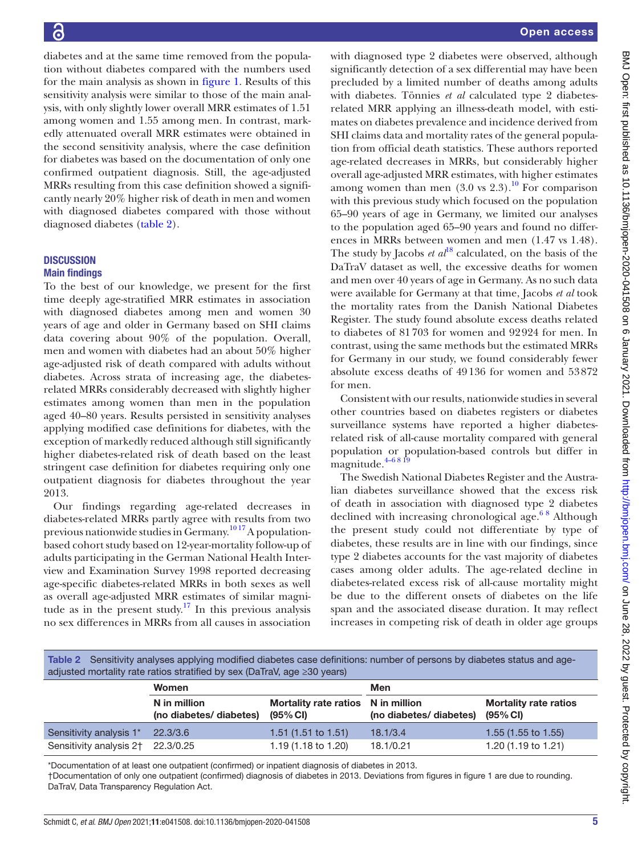diabetes and at the same time removed from the population without diabetes compared with the numbers used for the main analysis as shown in [figure](#page-1-0) 1. Results of this sensitivity analysis were similar to those of the main analysis, with only slightly lower overall MRR estimates of 1.51 among women and 1.55 among men. In contrast, markedly attenuated overall MRR estimates were obtained in the second sensitivity analysis, where the case definition for diabetes was based on the documentation of only one confirmed outpatient diagnosis. Still, the age-adjusted MRRs resulting from this case definition showed a significantly nearly 20% higher risk of death in men and women with diagnosed diabetes compared with those without diagnosed diabetes [\(table](#page-4-0) 2).

# **DISCUSSION** Main findings

To the best of our knowledge, we present for the first time deeply age-stratified MRR estimates in association with diagnosed diabetes among men and women 30 years of age and older in Germany based on SHI claims data covering about 90% of the population. Overall, men and women with diabetes had an about 50% higher age-adjusted risk of death compared with adults without diabetes. Across strata of increasing age, the diabetesrelated MRRs considerably decreased with slightly higher estimates among women than men in the population aged 40–80 years. Results persisted in sensitivity analyses applying modified case definitions for diabetes, with the exception of markedly reduced although still significantly higher diabetes-related risk of death based on the least stringent case definition for diabetes requiring only one outpatient diagnosis for diabetes throughout the year 2013.

Our findings regarding age-related decreases in diabetes-related MRRs partly agree with results from two previous nationwide studies in Germany.<sup>1017</sup> A populationbased cohort study based on 12-year-mortality follow-up of adults participating in the German National Health Interview and Examination Survey 1998 reported decreasing age-specific diabetes-related MRRs in both sexes as well as overall age-adjusted MRR estimates of similar magnitude as in the present study.<sup>17</sup> In this previous analysis no sex differences in MRRs from all causes in association

with diagnosed type 2 diabetes were observed, although significantly detection of a sex differential may have been precluded by a limited number of deaths among adults with diabetes. Tönnies *et al* calculated type 2 diabetesrelated MRR applying an illness-death model, with estimates on diabetes prevalence and incidence derived from SHI claims data and mortality rates of the general population from official death statistics. These authors reported age-related decreases in MRRs, but considerably higher overall age-adjusted MRR estimates, with higher estimates among women than men  $(3.0 \text{ vs } 2.3)$ .<sup>10</sup> For comparison with this previous study which focused on the population 65–90 years of age in Germany, we limited our analyses to the population aged 65–90 years and found no differences in MRRs between women and men (1.47 vs 1.48). The study by Jacobs *et al*<sup>[18](#page-6-15)</sup> calculated, on the basis of the DaTraV dataset as well, the excessive deaths for women and men over 40 years of age in Germany. As no such data were available for Germany at that time, Jacobs *et al* took the mortality rates from the Danish National Diabetes Register. The study found absolute excess deaths related to diabetes of 81703 for women and 92924 for men. In contrast, using the same methods but the estimated MRRs for Germany in our study, we found considerably fewer absolute excess deaths of 49136 for women and 53872 for men.

Consistent with our results, nationwide studies in several other countries based on diabetes registers or diabetes surveillance systems have reported a higher diabetesrelated risk of all-cause mortality compared with general population or population-based controls but differ in magnitude. $4-6819$ 

The Swedish National Diabetes Register and the Australian diabetes surveillance showed that the excess risk of death in association with diagnosed type 2 diabetes declined with increasing chronological age.<sup>68</sup> Although the present study could not differentiate by type of diabetes, these results are in line with our findings, since type 2 diabetes accounts for the vast majority of diabetes cases among older adults. The age-related decline in diabetes-related excess risk of all-cause mortality might be due to the different onsets of diabetes on the life span and the associated disease duration. It may reflect increases in competing risk of death in older age groups

<span id="page-4-0"></span>

| Table 2 Sensitivity analyses applying modified diabetes case definitions: number of persons by diabetes status and age- |
|-------------------------------------------------------------------------------------------------------------------------|
| adjusted mortality rate ratios stratified by sex (DaTraV, age $\geq 30$ years)                                          |

|                                   | Women                                   |                                                   | Men                     |                                                       |  |
|-----------------------------------|-----------------------------------------|---------------------------------------------------|-------------------------|-------------------------------------------------------|--|
|                                   | N in million<br>(no diabetes/ diabetes) | Mortality rate ratios N in million<br>$(95\%$ CI) | (no diabetes/ diabetes) | <b>Mortality rate ratios</b><br>$(95\% \, \text{Cl})$ |  |
| Sensitivity analysis 1*           | 22.3/3.6                                | 1.51(1.51 to 1.51)                                | 18.1/3.4                | 1.55 $(1.55$ to 1.55)                                 |  |
| Sensitivity analysis 2† 22.3/0.25 |                                         | 1.19 (1.18 to 1.20)                               | 18.1/0.21               | 1.20 (1.19 to 1.21)                                   |  |

\*Documentation of at least one outpatient (confirmed) or inpatient diagnosis of diabetes in 2013. †Documentation of only one outpatient (confirmed) diagnosis of diabetes in 2013. Deviations from figures in [figure 1](#page-1-0) are due to rounding. DaTraV, Data Transparency Regulation Act.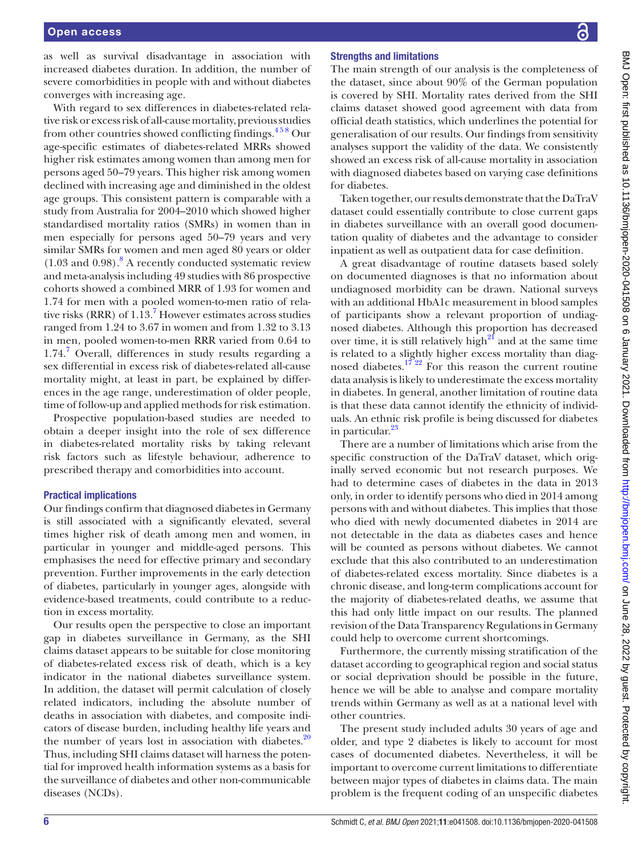as well as survival disadvantage in association with increased diabetes duration. In addition, the number of severe comorbidities in people with and without diabetes converges with increasing age.

With regard to sex differences in diabetes-related relative risk or excess risk of all-cause mortality, previous studies from other countries showed conflicting findings.<sup>458</sup> Our age-specific estimates of diabetes-related MRRs showed higher risk estimates among women than among men for persons aged 50–79 years. This higher risk among women declined with increasing age and diminished in the oldest age groups. This consistent pattern is comparable with a study from Australia for 2004–2010 which showed higher standardised mortality ratios (SMRs) in women than in men especially for persons aged 50–79 years and very similar SMRs for women and men aged 80 years or older  $(1.03 \text{ and } 0.98)$  $(1.03 \text{ and } 0.98)$  $(1.03 \text{ and } 0.98)$ .<sup>8</sup> A recently conducted systematic review and meta-analysis including 49 studies with 86 prospective cohorts showed a combined MRR of 1.93 for women and 1.74 for men with a pooled women-to-men ratio of relative risks (RRR) of  $1.13$ .<sup>[7](#page-6-5)</sup> However estimates across studies ranged from 1.24 to 3.67 in women and from 1.32 to 3.13 in men, pooled women-to-men RRR varied from 0.64 to 1.[7](#page-6-5)4.<sup>7</sup> Overall, differences in study results regarding a sex differential in excess risk of diabetes-related all-cause mortality might, at least in part, be explained by differences in the age range, underestimation of older people, time of follow-up and applied methods for risk estimation.

Prospective population-based studies are needed to obtain a deeper insight into the role of sex difference in diabetes-related mortality risks by taking relevant risk factors such as lifestyle behaviour, adherence to prescribed therapy and comorbidities into account.

#### Practical implications

Our findings confirm that diagnosed diabetes in Germany is still associated with a significantly elevated, several times higher risk of death among men and women, in particular in younger and middle-aged persons. This emphasises the need for effective primary and secondary prevention. Further improvements in the early detection of diabetes, particularly in younger ages, alongside with evidence-based treatments, could contribute to a reduction in excess mortality.

Our results open the perspective to close an important gap in diabetes surveillance in Germany, as the SHI claims dataset appears to be suitable for close monitoring of diabetes-related excess risk of death, which is a key indicator in the national diabetes surveillance system. In addition, the dataset will permit calculation of closely related indicators, including the absolute number of deaths in association with diabetes, and composite indicators of disease burden, including healthy life years and the number of years lost in association with diabetes. $20$ Thus, including SHI claims dataset will harness the potential for improved health information systems as a basis for the surveillance of diabetes and other non-communicable diseases (NCDs).

### Strengths and limitations

The main strength of our analysis is the completeness of the dataset, since about 90% of the German population is covered by SHI. Mortality rates derived from the SHI claims dataset showed good agreement with data from official death statistics, which underlines the potential for generalisation of our results. Our findings from sensitivity analyses support the validity of the data. We consistently showed an excess risk of all-cause mortality in association with diagnosed diabetes based on varying case definitions for diabetes.

Taken together, our results demonstrate that the DaTraV dataset could essentially contribute to close current gaps in diabetes surveillance with an overall good documentation quality of diabetes and the advantage to consider inpatient as well as outpatient data for case definition.

A great disadvantage of routine datasets based solely on documented diagnoses is that no information about undiagnosed morbidity can be drawn. National surveys with an additional HbA1c measurement in blood samples of participants show a relevant proportion of undiagnosed diabetes. Although this proportion has decreased over time, it is still relatively high $2<sup>1</sup>$  and at the same time is related to a slightly higher excess mortality than diagnosed diabetes.<sup>1722</sup> For this reason the current routine data analysis is likely to underestimate the excess mortality in diabetes. In general, another limitation of routine data is that these data cannot identify the ethnicity of individuals. An ethnic risk profile is being discussed for diabetes in particular.<sup>[23](#page-7-2)</sup>

There are a number of limitations which arise from the specific construction of the DaTraV dataset, which originally served economic but not research purposes. We had to determine cases of diabetes in the data in 2013 only, in order to identify persons who died in 2014 among persons with and without diabetes. This implies that those who died with newly documented diabetes in 2014 are not detectable in the data as diabetes cases and hence will be counted as persons without diabetes. We cannot exclude that this also contributed to an underestimation of diabetes-related excess mortality. Since diabetes is a chronic disease, and long-term complications account for the majority of diabetes-related deaths, we assume that this had only little impact on our results. The planned revision of the Data Transparency Regulations in Germany could help to overcome current shortcomings.

Furthermore, the currently missing stratification of the dataset according to geographical region and social status or social deprivation should be possible in the future, hence we will be able to analyse and compare mortality trends within Germany as well as at a national level with other countries.

The present study included adults 30 years of age and older, and type 2 diabetes is likely to account for most cases of documented diabetes. Nevertheless, it will be important to overcome current limitations to differentiate between major types of diabetes in claims data. The main problem is the frequent coding of an unspecific diabetes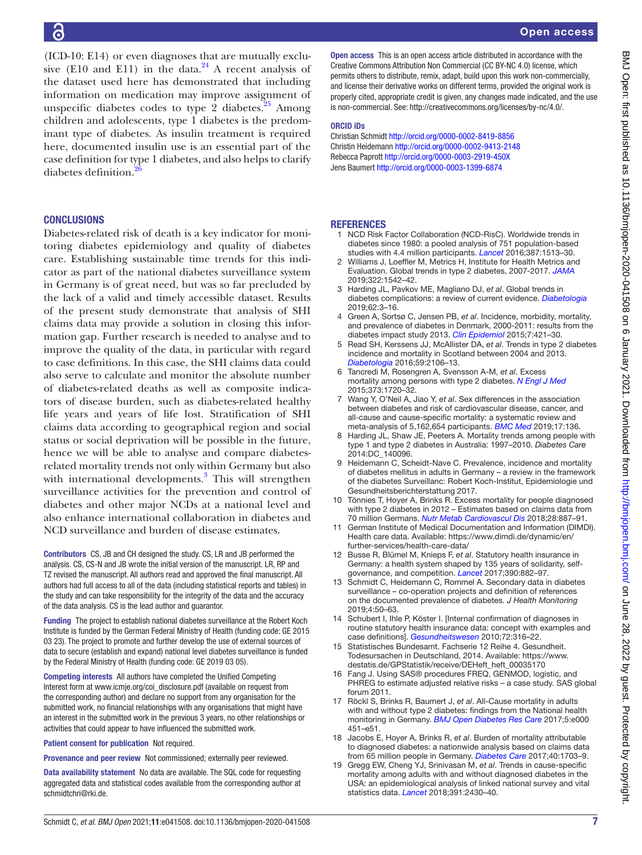(ICD-10: E14) or even diagnoses that are mutually exclusive (E10 and E11) in the data. $24$  A recent analysis of the dataset used here has demonstrated that including information on medication may improve assignment of unspecific diabetes codes to type  $2$  diabetes.<sup>25</sup> Among children and adolescents, type 1 diabetes is the predominant type of diabetes. As insulin treatment is required here, documented insulin use is an essential part of the case definition for type 1 diabetes, and also helps to clarify diabetes definition.

## **CONCLUSIONS**

Diabetes-related risk of death is a key indicator for monitoring diabetes epidemiology and quality of diabetes care. Establishing sustainable time trends for this indicator as part of the national diabetes surveillance system in Germany is of great need, but was so far precluded by the lack of a valid and timely accessible dataset. Results of the present study demonstrate that analysis of SHI claims data may provide a solution in closing this information gap. Further research is needed to analyse and to improve the quality of the data, in particular with regard to case definitions. In this case, the SHI claims data could also serve to calculate and monitor the absolute number of diabetes-related deaths as well as composite indicators of disease burden, such as diabetes-related healthy life years and years of life lost. Stratification of SHI claims data according to geographical region and social status or social deprivation will be possible in the future, hence we will be able to analyse and compare diabetesrelated mortality trends not only within Germany but also with international developments.<sup>3</sup> This will strengthen surveillance activities for the prevention and control of diabetes and other major NCDs at a national level and also enhance international collaboration in diabetes and NCD surveillance and burden of disease estimates.

Contributors CS, JB and CH designed the study. CS, LR and JB performed the analysis. CS, CS-N and JB wrote the initial version of the manuscript. LR, RP and TZ revised the manuscript. All authors read and approved the final manuscript. All authors had full access to all of the data (including statistical reports and tables) in the study and can take responsibility for the integrity of the data and the accuracy of the data analysis. CS is the lead author and guarantor.

Funding The project to establish national diabetes surveillance at the Robert Koch Institute is funded by the German Federal Ministry of Health (funding code: GE 2015 03 23). The project to promote and further develop the use of external sources of data to secure (establish and expand) national level diabetes surveillance is funded by the Federal Ministry of Health (funding code: GE 2019 03 05).

Competing interests All authors have completed the Unified Competing Interest form at [www.icmje.org/coi\\_disclosure.pdf](http://www.icmje.org/coi_disclosure.pdf) (available on request from the corresponding author) and declare no support from any organisation for the submitted work, no financial relationships with any organisations that might have an interest in the submitted work in the previous 3 years, no other relationships or activities that could appear to have influenced the submitted work.

Patient consent for publication Not required.

Provenance and peer review Not commissioned; externally peer reviewed.

Data availability statement No data are available. The SQL code for requesting aggregated data and statistical codes available from the corresponding author at schmidtchri@rki.de.

Open access This is an open access article distributed in accordance with the Creative Commons Attribution Non Commercial (CC BY-NC 4.0) license, which permits others to distribute, remix, adapt, build upon this work non-commercially, and license their derivative works on different terms, provided the original work is properly cited, appropriate credit is given, any changes made indicated, and the use is non-commercial. See: [http://creativecommons.org/licenses/by-nc/4.0/.](http://creativecommons.org/licenses/by-nc/4.0/)

#### ORCID iDs

Christian Schmidt<http://orcid.org/0000-0002-8419-8856> Christin Heidemann <http://orcid.org/0000-0002-9413-2148> Rebecca Paprott<http://orcid.org/0000-0003-2919-450X> Jens Baumert <http://orcid.org/0000-0003-1399-6874>

#### <span id="page-6-0"></span>REFERENCES

- 1 NCD Risk Factor Collaboration (NCD-RisC). Worldwide trends in diabetes since 1980: a pooled analysis of 751 population-based studies with 4.4 million participants. *[Lancet](http://dx.doi.org/10.1016/S0140-6736(16)00618-8)* 2016;387:1513–30.
- <span id="page-6-1"></span>Williams J, Loeffler M, Metrics H, Institute for Health Metrics and Evaluation. Global trends in type 2 diabetes, 2007-2017. *[JAMA](http://dx.doi.org/10.1001/jama.2019.16074)* 2019;322:1542–42.
- <span id="page-6-2"></span>3 Harding JL, Pavkov ME, Magliano DJ, *et al*. Global trends in diabetes complications: a review of current evidence. *[Diabetologia](http://dx.doi.org/10.1007/s00125-018-4711-2)* 2019;62:3–16.
- <span id="page-6-3"></span>4 Green A, Sortsø C, Jensen PB, *et al*. Incidence, morbidity, mortality, and prevalence of diabetes in Denmark, 2000-2011: results from the diabetes impact study 2013. *[Clin Epidemiol](http://dx.doi.org/10.2147/CLEP.S88577)* 2015;7:421–30.
- 5 Read SH, Kerssens JJ, McAllister DA, *et al*. Trends in type 2 diabetes incidence and mortality in Scotland between 2004 and 2013. *[Diabetologia](http://dx.doi.org/10.1007/s00125-016-4054-9)* 2016;59:2106–13.
- <span id="page-6-4"></span>6 Tancredi M, Rosengren A, Svensson A-M, *et al*. Excess mortality among persons with type 2 diabetes. *[N Engl J Med](http://dx.doi.org/10.1056/NEJMoa1504347)* 2015;373:1720–32.
- <span id="page-6-5"></span>7 Wang Y, O'Neil A, Jiao Y, *et al*. Sex differences in the association between diabetes and risk of cardiovascular disease, cancer, and all-cause and cause-specific mortality: a systematic review and meta-analysis of 5,162,654 participants. *[BMC Med](http://dx.doi.org/10.1186/s12916-019-1355-0)* 2019;17:136.
- <span id="page-6-16"></span>8 Harding JL, Shaw JE, Peeters A. Mortality trends among people with type 1 and type 2 diabetes in Australia: 1997–2010. *Diabetes Care* 2014:DC\_140096.
- <span id="page-6-6"></span>9 Heidemann C, Scheidt-Nave C. Prevalence, incidence and mortality of diabetes mellitus in adults in Germany – a review in the framework of the diabetes Surveillanc: Robert Koch-Institut, Epidemiologie und Gesundheitsberichterstattung 2017.
- <span id="page-6-7"></span>10 Tönnies T, Hoyer A, Brinks R. Excess mortality for people diagnosed with type 2 diabetes in 2012 – Estimates based on claims data from 70 million Germans. *[Nutr Metab Cardiovascul Dis](http://dx.doi.org/10.1016/j.numecd.2018.05.008)* 2018;28:887–91.
- <span id="page-6-8"></span>11 German Institute of Medical Documentation and Information (DIMDI). Health care data. Available: [https://www.dimdi.de/dynamic/en/](https://www.dimdi.de/dynamic/en/further-services/health-care-data/) [further-services/health-care-data/](https://www.dimdi.de/dynamic/en/further-services/health-care-data/)
- <span id="page-6-9"></span>12 Busse R, Blümel M, Knieps F, *et al*. Statutory health insurance in Germany: a health system shaped by 135 years of solidarity, selfgovernance, and competition. *[Lancet](http://dx.doi.org/10.1016/S0140-6736(17)31280-1)* 2017;390:882–97.
- <span id="page-6-10"></span>13 Schmidt C, Heidemann C, Rommel A. Secondary data in diabetes surveillance – co-operation projects and definition of references on the documented prevalence of diabetes. *J Health Monitoring* 2019;4:50–63.
- <span id="page-6-11"></span>14 Schubert I, Ihle P, Köster I. [Internal confirmation of diagnoses in routine statutory health insurance data: concept with examples and case definitions]. *[Gesundheitswesen](http://dx.doi.org/10.1055/s-0030-1249688)* 2010;72:316–22.
- <span id="page-6-12"></span>15 Statistisches Bundesamt. Fachserie 12 Reihe 4. Gesundheit. Todesursachen in Deutschland, 2014. Available: [https://www.](https://www.destatis.de/GPStatistik/receive/DEHeft_heft_00035170) [destatis.de/GPStatistik/receive/DEHeft\\_heft\\_00035170](https://www.destatis.de/GPStatistik/receive/DEHeft_heft_00035170)
- <span id="page-6-13"></span>16 Fang J. Using SAS® procedures FREQ, GENMOD, logistic, and PHREG to estimate adjusted relative risks – a case study. SAS global forum 2011.
- <span id="page-6-14"></span>17 Röckl S, Brinks R, Baumert J, *et al*. All-Cause mortality in adults with and without type 2 diabetes: findings from the National health monitoring in Germany. *[BMJ Open Diabetes Res Care](http://dx.doi.org/10.1136/bmjdrc-2017-000451)* 2017;5:e000 451–e51.
- <span id="page-6-15"></span>18 Jacobs E, Hoyer A, Brinks R, *et al*. Burden of mortality attributable to diagnosed diabetes: a nationwide analysis based on claims data from 65 million people in Germany. *[Diabetes Care](http://dx.doi.org/10.2337/dc17-0954)* 2017;40:1703–9.
- 19 Gregg EW, Cheng YJ, Srinivasan M, *et al*. Trends in cause-specific mortality among adults with and without diagnosed diabetes in the USA: an epidemiological analysis of linked national survey and vital statistics data. *[Lancet](http://dx.doi.org/10.1016/S0140-6736(18)30314-3)* 2018;391:2430–40.